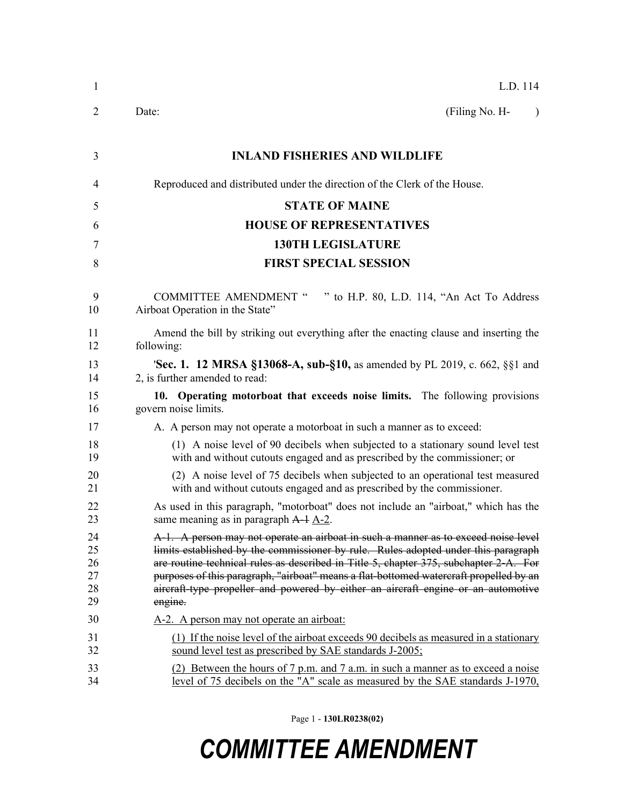| $\mathbf{1}$                     | L.D. 114                                                                                                                                                                                                                                                                                                                                                                                                                                                    |
|----------------------------------|-------------------------------------------------------------------------------------------------------------------------------------------------------------------------------------------------------------------------------------------------------------------------------------------------------------------------------------------------------------------------------------------------------------------------------------------------------------|
| 2                                | Date:<br>(Filing No. H-<br>$\lambda$                                                                                                                                                                                                                                                                                                                                                                                                                        |
| 3                                | <b>INLAND FISHERIES AND WILDLIFE</b>                                                                                                                                                                                                                                                                                                                                                                                                                        |
| 4                                | Reproduced and distributed under the direction of the Clerk of the House.                                                                                                                                                                                                                                                                                                                                                                                   |
| 5                                | <b>STATE OF MAINE</b>                                                                                                                                                                                                                                                                                                                                                                                                                                       |
| 6                                | <b>HOUSE OF REPRESENTATIVES</b>                                                                                                                                                                                                                                                                                                                                                                                                                             |
| 7                                | <b>130TH LEGISLATURE</b>                                                                                                                                                                                                                                                                                                                                                                                                                                    |
| 8                                | <b>FIRST SPECIAL SESSION</b>                                                                                                                                                                                                                                                                                                                                                                                                                                |
| 9<br>10                          | <b>COMMITTEE AMENDMENT "</b><br>" to H.P. 80, L.D. 114, "An Act To Address<br>Airboat Operation in the State"                                                                                                                                                                                                                                                                                                                                               |
| 11<br>12                         | Amend the bill by striking out everything after the enacting clause and inserting the<br>following:                                                                                                                                                                                                                                                                                                                                                         |
| 13<br>14                         | <b>'Sec. 1. 12 MRSA §13068-A, sub-§10, as amended by PL 2019, c. 662, §§1 and</b><br>2, is further amended to read:                                                                                                                                                                                                                                                                                                                                         |
| 15<br>16                         | 10. Operating motorboat that exceeds noise limits. The following provisions<br>govern noise limits.                                                                                                                                                                                                                                                                                                                                                         |
| 17                               | A. A person may not operate a motorboat in such a manner as to exceed:                                                                                                                                                                                                                                                                                                                                                                                      |
| 18<br>19                         | (1) A noise level of 90 decibels when subjected to a stationary sound level test<br>with and without cutouts engaged and as prescribed by the commissioner; or                                                                                                                                                                                                                                                                                              |
| 20<br>21                         | (2) A noise level of 75 decibels when subjected to an operational test measured<br>with and without cutouts engaged and as prescribed by the commissioner.                                                                                                                                                                                                                                                                                                  |
| 22<br>23                         | As used in this paragraph, "motorboat" does not include an "airboat," which has the<br>same meaning as in paragraph $A-1$ $A-2$ .                                                                                                                                                                                                                                                                                                                           |
| 24<br>25<br>26<br>27<br>28<br>29 | A-1. A person may not operate an airboat in such a manner as to exceed noise level<br>limits established by the commissioner by rule. Rules adopted under this paragraph<br>are routine technical rules as described in Title 5, chapter 375, subchapter 2-A. For<br>purposes of this paragraph, "airboat" means a flat-bottomed watercraft propelled by an<br>aircraft-type propeller and powered by either an aircraft engine or an automotive<br>engine. |
| 30                               | A-2. A person may not operate an airboat:                                                                                                                                                                                                                                                                                                                                                                                                                   |
| 31<br>32                         | (1) If the noise level of the airboat exceeds 90 decibels as measured in a stationary<br>sound level test as prescribed by SAE standards J-2005;                                                                                                                                                                                                                                                                                                            |
| 33<br>34                         | (2) Between the hours of $7 p.m.$ and $7 a.m.$ in such a manner as to exceed a noise<br>level of 75 decibels on the "A" scale as measured by the SAE standards J-1970,                                                                                                                                                                                                                                                                                      |

Page 1 - **130LR0238(02)**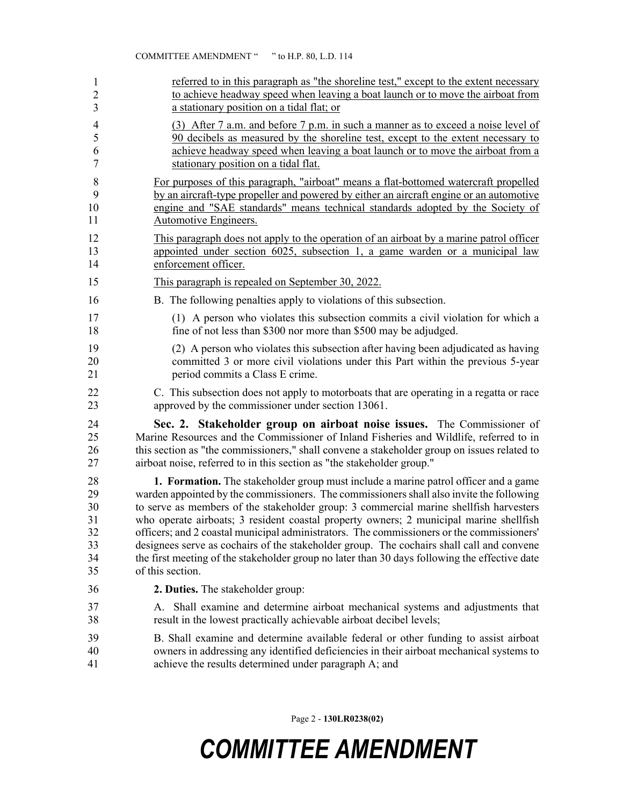| 1              | referred to in this paragraph as "the shoreline test," except to the extent necessary                                                                    |
|----------------|----------------------------------------------------------------------------------------------------------------------------------------------------------|
| $\overline{c}$ | to achieve headway speed when leaving a boat launch or to move the airboat from                                                                          |
| 3              | a stationary position on a tidal flat; or                                                                                                                |
| $\overline{4}$ | (3) After 7 a.m. and before 7 p.m. in such a manner as to exceed a noise level of                                                                        |
| 5              | 90 decibels as measured by the shoreline test, except to the extent necessary to                                                                         |
| 6              | achieve headway speed when leaving a boat launch or to move the airboat from a                                                                           |
| $\overline{7}$ | stationary position on a tidal flat.                                                                                                                     |
| $\,8\,$        | For purposes of this paragraph, "airboat" means a flat-bottomed watercraft propelled                                                                     |
| 9              | by an aircraft-type propeller and powered by either an aircraft engine or an automotive                                                                  |
| 10             | engine and "SAE standards" means technical standards adopted by the Society of                                                                           |
| 11             | <b>Automotive Engineers.</b>                                                                                                                             |
| 12             | This paragraph does not apply to the operation of an airboat by a marine patrol officer                                                                  |
| 13             | appointed under section 6025, subsection 1, a game warden or a municipal law                                                                             |
| 14             | enforcement officer.                                                                                                                                     |
| 15             | This paragraph is repealed on September 30, 2022.                                                                                                        |
| 16             | B. The following penalties apply to violations of this subsection.                                                                                       |
| 17             | (1) A person who violates this subsection commits a civil violation for which a                                                                          |
| 18             | fine of not less than \$300 nor more than \$500 may be adjudged.                                                                                         |
| 19             | (2) A person who violates this subsection after having been adjudicated as having                                                                        |
| 20             | committed 3 or more civil violations under this Part within the previous 5-year                                                                          |
| 21             | period commits a Class E crime.                                                                                                                          |
| 22             | C. This subsection does not apply to motorboats that are operating in a regatta or race                                                                  |
| 23             | approved by the commissioner under section 13061.                                                                                                        |
| 24             | Sec. 2. Stakeholder group on airboat noise issues. The Commissioner of                                                                                   |
| 25             | Marine Resources and the Commissioner of Inland Fisheries and Wildlife, referred to in                                                                   |
| 26             | this section as "the commissioners," shall convene a stakeholder group on issues related to                                                              |
| 27             | airboat noise, referred to in this section as "the stakeholder group."                                                                                   |
| 28             | <b>1. Formation.</b> The stakeholder group must include a marine patrol officer and a game                                                               |
| 29             | warden appointed by the commissioners. The commissioners shall also invite the following                                                                 |
| 30             | to serve as members of the stakeholder group: 3 commercial marine shellfish harvesters                                                                   |
| 31             | who operate airboats; 3 resident coastal property owners; 2 municipal marine shellfish                                                                   |
| 32             | officers; and 2 coastal municipal administrators. The commissioners or the commissioners'                                                                |
| 33             | designees serve as cochairs of the stakeholder group. The cochairs shall call and convene                                                                |
| 34             | the first meeting of the stakeholder group no later than 30 days following the effective date                                                            |
| 35             | of this section.                                                                                                                                         |
| 36             | 2. Duties. The stakeholder group:                                                                                                                        |
| 37<br>38       | Shall examine and determine airboat mechanical systems and adjustments that<br>А.<br>result in the lowest practically achievable airboat decibel levels; |
| 39             | B. Shall examine and determine available federal or other funding to assist airboat                                                                      |
| 40             | owners in addressing any identified deficiencies in their airboat mechanical systems to                                                                  |
| 41             | achieve the results determined under paragraph A; and                                                                                                    |

Page 2 - **130LR0238(02)**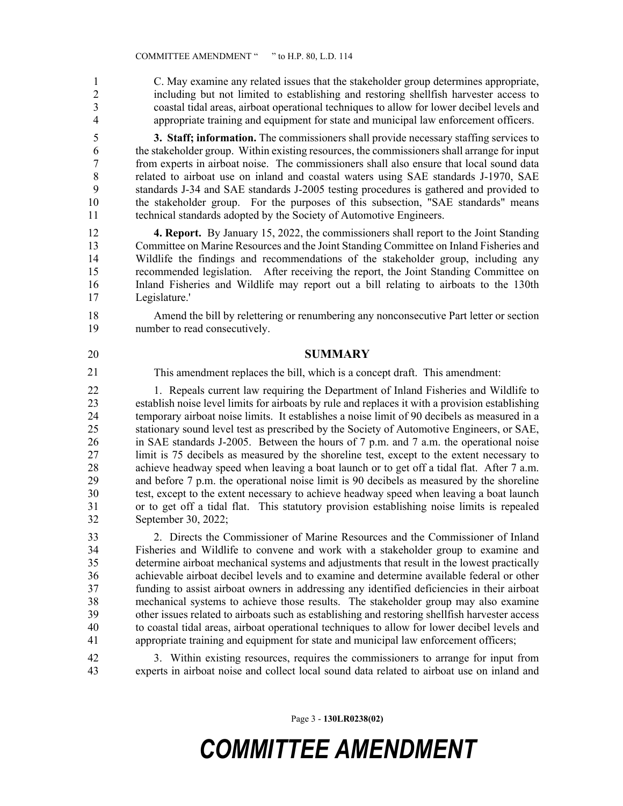1 C. May examine any related issues that the stakeholder group determines appropriate, 2 including but not limited to establishing and restoring shellfish harvester access to 3 coastal tidal areas, airboat operational techniques to allow for lower decibel levels and 4 appropriate training and equipment for state and municipal law enforcement officers.

5 **3. Staff; information.** The commissioners shall provide necessary staffing services to 6 the stakeholder group. Within existing resources, the commissioners shall arrange for input 7 from experts in airboat noise. The commissioners shall also ensure that local sound data 8 related to airboat use on inland and coastal waters using SAE standards J-1970, SAE 9 standards J-34 and SAE standards J-2005 testing procedures is gathered and provided to 10 the stakeholder group. For the purposes of this subsection, "SAE standards" means 11 technical standards adopted by the Society of Automotive Engineers.

12 **4. Report.** By January 15, 2022, the commissioners shall report to the Joint Standing 13 Committee on Marine Resources and the Joint Standing Committee on Inland Fisheries and 14 Wildlife the findings and recommendations of the stakeholder group, including any 15 recommended legislation. After receiving the report, the Joint Standing Committee on 16 Inland Fisheries and Wildlife may report out a bill relating to airboats to the 130th 17 Legislature.'

18 Amend the bill by relettering or renumbering any nonconsecutive Part letter or section 19 number to read consecutively.

### 20 **SUMMARY**

21

This amendment replaces the bill, which is a concept draft. This amendment:

22 1. Repeals current law requiring the Department of Inland Fisheries and Wildlife to<br>23 establish noise level limits for airboats by rule and replaces it with a provision establishing establish noise level limits for airboats by rule and replaces it with a provision establishing 24 temporary airboat noise limits. It establishes a noise limit of 90 decibels as measured in a 25 stationary sound level test as prescribed by the Society of Automotive Engineers, or SAE, 26 in SAE standards J-2005. Between the hours of 7 p.m. and 7 a.m. the operational noise 27 limit is 75 decibels as measured by the shoreline test, except to the extent necessary to 28 achieve headway speed when leaving a boat launch or to get off a tidal flat. After 7 a.m. 29 and before 7 p.m. the operational noise limit is 90 decibels as measured by the shoreline 30 test, except to the extent necessary to achieve headway speed when leaving a boat launch 31 or to get off a tidal flat. This statutory provision establishing noise limits is repealed 32 September 30, 2022;

33 2. Directs the Commissioner of Marine Resources and the Commissioner of Inland 34 Fisheries and Wildlife to convene and work with a stakeholder group to examine and 35 determine airboat mechanical systems and adjustments that result in the lowest practically 36 achievable airboat decibel levels and to examine and determine available federal or other 37 funding to assist airboat owners in addressing any identified deficiencies in their airboat 38 mechanical systems to achieve those results. The stakeholder group may also examine 39 other issues related to airboats such as establishing and restoring shellfish harvester access 40 to coastal tidal areas, airboat operational techniques to allow for lower decibel levels and 41 appropriate training and equipment for state and municipal law enforcement officers;

42 3. Within existing resources, requires the commissioners to arrange for input from 43 experts in airboat noise and collect local sound data related to airboat use on inland and

Page 3 - **130LR0238(02)**